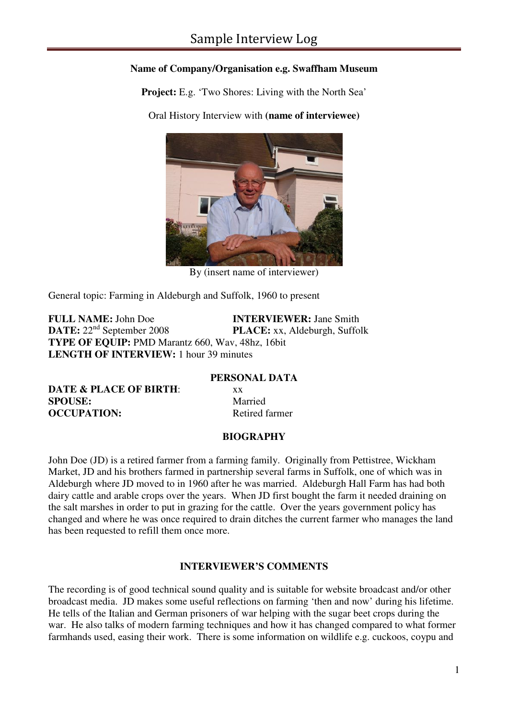## **Name of Company/Organisation e.g. Swaffham Museum**

**Project:** E.g. 'Two Shores: Living with the North Sea'

Oral History Interview with **(name of interviewee)**



By (insert name of interviewer)

General topic: Farming in Aldeburgh and Suffolk, 1960 to present

**FULL NAME:** John Doe **INTERVIEWER:** Jane Smith **DATE:**  $22^{\text{nd}}$  September 2008 **PLACE:** xx, Aldeburgh, Suffo **PLACE:** xx, Aldeburgh, Suffolk **TYPE OF EQUIP:** PMD Marantz 660, Wav, 48hz, 16bit **LENGTH OF INTERVIEW:** 1 hour 39 minutes

**PERSONAL DATA** 

**DATE & PLACE OF BIRTH:** xx **SPOUSE:** Married **OCCUPATION:** Retired farmer

## **BIOGRAPHY**

John Doe (JD) is a retired farmer from a farming family. Originally from Pettistree, Wickham Market, JD and his brothers farmed in partnership several farms in Suffolk, one of which was in Aldeburgh where JD moved to in 1960 after he was married. Aldeburgh Hall Farm has had both dairy cattle and arable crops over the years. When JD first bought the farm it needed draining on the salt marshes in order to put in grazing for the cattle. Over the years government policy has changed and where he was once required to drain ditches the current farmer who manages the land has been requested to refill them once more.

## **INTERVIEWER'S COMMENTS**

The recording is of good technical sound quality and is suitable for website broadcast and/or other broadcast media. JD makes some useful reflections on farming 'then and now' during his lifetime. He tells of the Italian and German prisoners of war helping with the sugar beet crops during the war. He also talks of modern farming techniques and how it has changed compared to what former farmhands used, easing their work. There is some information on wildlife e.g. cuckoos, coypu and